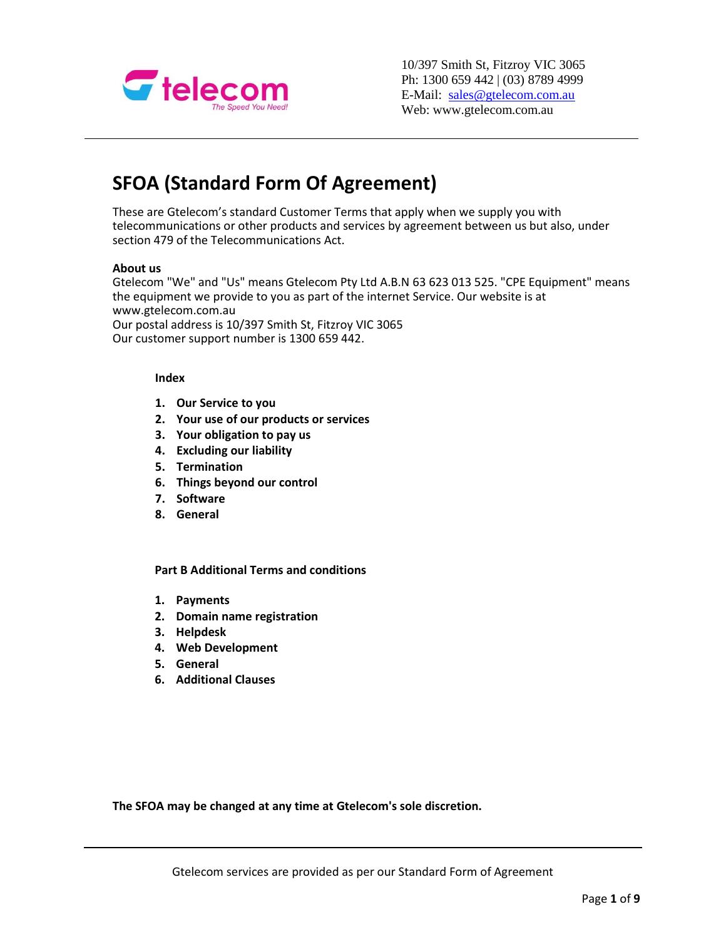

10/397 Smith St, Fitzroy VIC 3065 Ph: 1300 659 442 | (03) 8789 4999 E-Mail: [sales@gtelecom.com.au](mailto:sales@gtelecom.com.au) Web: www.gtelecom.com.au

# **SFOA (Standard Form Of Agreement)**

These are Gtelecom's standard Customer Terms that apply when we supply you with telecommunications or other products and services by agreement between us but also, under section 479 of the Telecommunications Act.

#### **About us**

Gtelecom "We" and "Us" means Gtelecom Pty Ltd A.B.N 63 623 013 525. "CPE Equipment" means the equipment we provide to you as part of the internet Service. Our website is at www.gtelecom.com.au

Our postal address is 10/397 Smith St, Fitzroy VIC 3065 Our customer support number is 1300 659 442.

#### **Index**

- **1. Our Service to you**
- **2. Your use of our products or services**
- **3. Your obligation to pay us**
- **4. Excluding our liability**
- **5. Termination**
- **6. Things beyond our control**
- **7. Software**
- **8. General**

**Part B Additional Terms and conditions**

- **1. Payments**
- **2. Domain name registration**
- **3. Helpdesk**
- **4. Web Development**
- **5. General**
- **6. Additional Clauses**

**The SFOA may be changed at any time at Gtelecom's sole discretion.**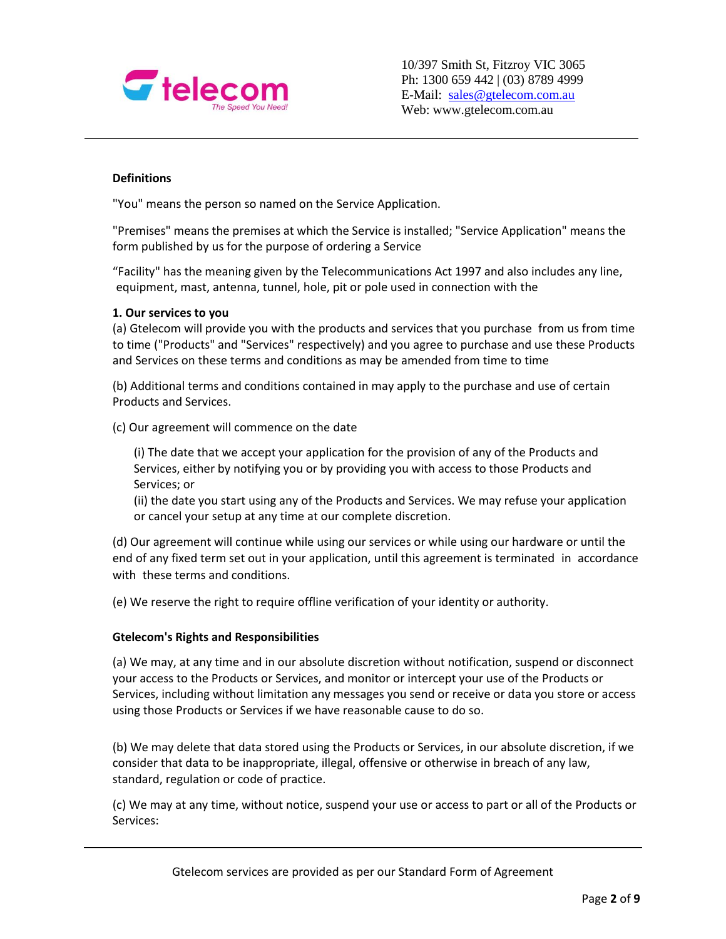

## **Definitions**

"You" means the person so named on the Service Application.

"Premises" means the premises at which the Service is installed; "Service Application" means the form published by us for the purpose of ordering a Service

"Facility" has the meaning given by the Telecommunications Act 1997 and also includes any line, equipment, mast, antenna, tunnel, hole, pit or pole used in connection with the

#### **1. Our services to you**

(a) Gtelecom will provide you with the products and services that you purchase from us from time to time ("Products" and "Services" respectively) and you agree to purchase and use these Products and Services on these terms and conditions as may be amended from time to time

(b) Additional terms and conditions contained in may apply to the purchase and use of certain Products and Services.

(c) Our agreement will commence on the date

(i) The date that we accept your application for the provision of any of the Products and Services, either by notifying you or by providing you with access to those Products and Services; or

(ii) the date you start using any of the Products and Services. We may refuse your application or cancel your setup at any time at our complete discretion.

(d) Our agreement will continue while using our services or while using our hardware or until the end of any fixed term set out in your application, until this agreement is terminated in accordance with these terms and conditions.

(e) We reserve the right to require offline verification of your identity or authority.

#### **Gtelecom's Rights and Responsibilities**

(a) We may, at any time and in our absolute discretion without notification, suspend or disconnect your access to the Products or Services, and monitor or intercept your use of the Products or Services, including without limitation any messages you send or receive or data you store or access using those Products or Services if we have reasonable cause to do so.

(b) We may delete that data stored using the Products or Services, in our absolute discretion, if we consider that data to be inappropriate, illegal, offensive or otherwise in breach of any law, standard, regulation or code of practice.

(c) We may at any time, without notice, suspend your use or access to part or all of the Products or Services: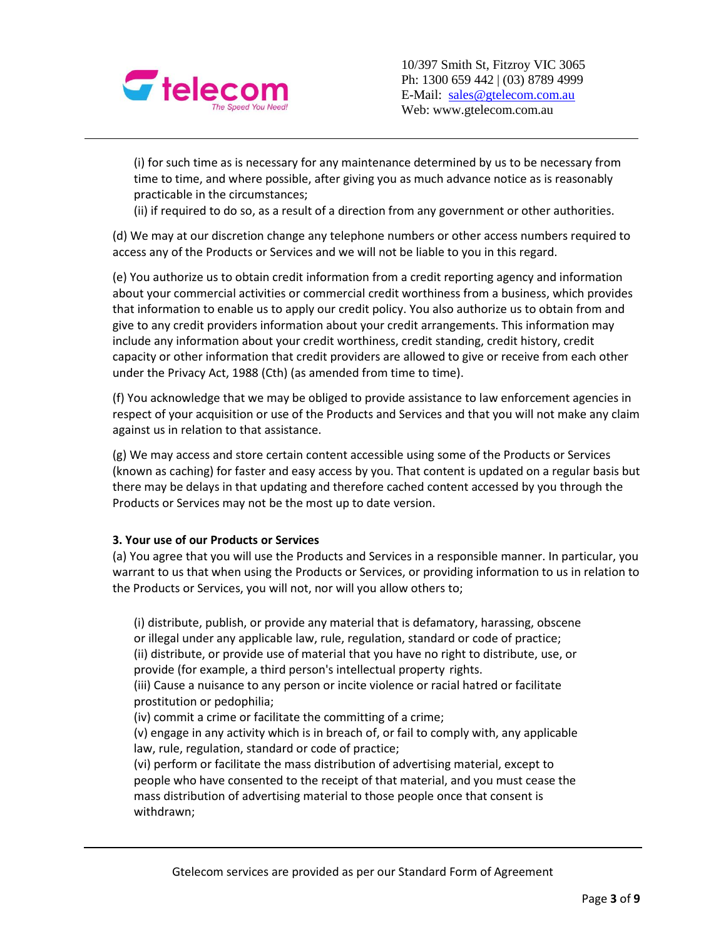

(i) for such time as is necessary for any maintenance determined by us to be necessary from time to time, and where possible, after giving you as much advance notice as is reasonably practicable in the circumstances;

(ii) if required to do so, as a result of a direction from any government or other authorities.

(d) We may at our discretion change any telephone numbers or other access numbers required to access any of the Products or Services and we will not be liable to you in this regard.

(e) You authorize us to obtain credit information from a credit reporting agency and information about your commercial activities or commercial credit worthiness from a business, which provides that information to enable us to apply our credit policy. You also authorize us to obtain from and give to any credit providers information about your credit arrangements. This information may include any information about your credit worthiness, credit standing, credit history, credit capacity or other information that credit providers are allowed to give or receive from each other under the Privacy Act, 1988 (Cth) (as amended from time to time).

(f) You acknowledge that we may be obliged to provide assistance to law enforcement agencies in respect of your acquisition or use of the Products and Services and that you will not make any claim against us in relation to that assistance.

(g) We may access and store certain content accessible using some of the Products or Services (known as caching) for faster and easy access by you. That content is updated on a regular basis but there may be delays in that updating and therefore cached content accessed by you through the Products or Services may not be the most up to date version.

## **3. Your use of our Products or Services**

(a) You agree that you will use the Products and Services in a responsible manner. In particular, you warrant to us that when using the Products or Services, or providing information to us in relation to the Products or Services, you will not, nor will you allow others to;

(i) distribute, publish, or provide any material that is defamatory, harassing, obscene or illegal under any applicable law, rule, regulation, standard or code of practice;

(ii) distribute, or provide use of material that you have no right to distribute, use, or provide (for example, a third person's intellectual property rights.

(iii) Cause a nuisance to any person or incite violence or racial hatred or facilitate prostitution or pedophilia;

(iv) commit a crime or facilitate the committing of a crime;

(v) engage in any activity which is in breach of, or fail to comply with, any applicable law, rule, regulation, standard or code of practice;

(vi) perform or facilitate the mass distribution of advertising material, except to people who have consented to the receipt of that material, and you must cease the mass distribution of advertising material to those people once that consent is withdrawn;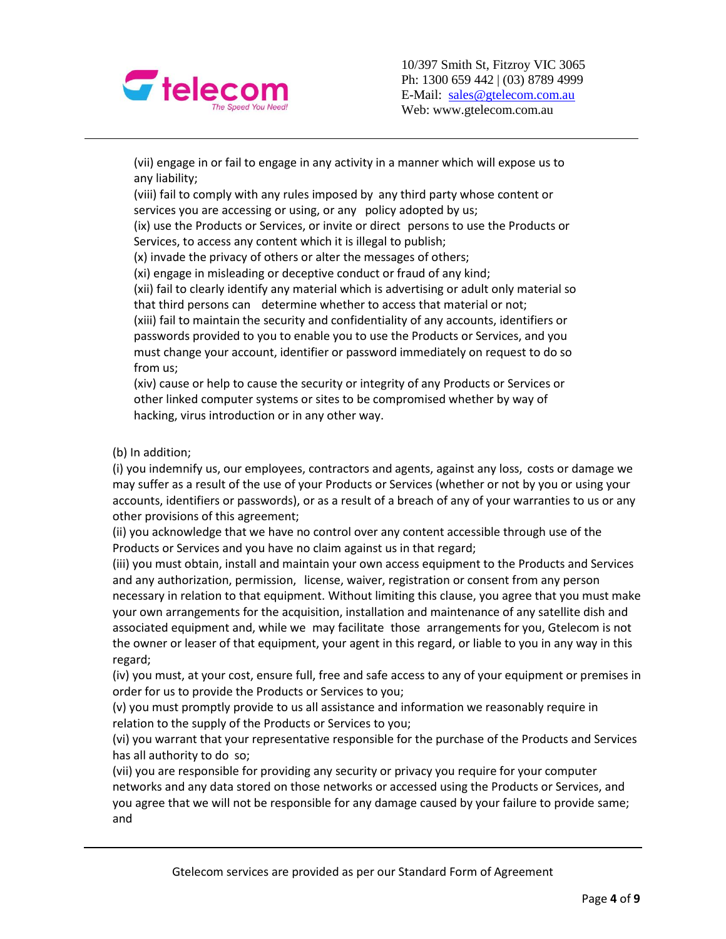

(vii) engage in or fail to engage in any activity in a manner which will expose us to any liability;

(viii) fail to comply with any rules imposed by any third party whose content or services you are accessing or using, or any policy adopted by us;

(ix) use the Products or Services, or invite or direct persons to use the Products or Services, to access any content which it is illegal to publish;

(x) invade the privacy of others or alter the messages of others;

(xi) engage in misleading or deceptive conduct or fraud of any kind;

(xii) fail to clearly identify any material which is advertising or adult only material so that third persons can determine whether to access that material or not;

(xiii) fail to maintain the security and confidentiality of any accounts, identifiers or passwords provided to you to enable you to use the Products or Services, and you must change your account, identifier or password immediately on request to do so from us;

(xiv) cause or help to cause the security or integrity of any Products or Services or other linked computer systems or sites to be compromised whether by way of hacking, virus introduction or in any other way.

(b) In addition;

(i) you indemnify us, our employees, contractors and agents, against any loss, costs or damage we may suffer as a result of the use of your Products or Services (whether or not by you or using your accounts, identifiers or passwords), or as a result of a breach of any of your warranties to us or any other provisions of this agreement;

(ii) you acknowledge that we have no control over any content accessible through use of the Products or Services and you have no claim against us in that regard;

(iii) you must obtain, install and maintain your own access equipment to the Products and Services and any authorization, permission, license, waiver, registration or consent from any person necessary in relation to that equipment. Without limiting this clause, you agree that you must make your own arrangements for the acquisition, installation and maintenance of any satellite dish and associated equipment and, while we may facilitate those arrangements for you, Gtelecom is not the owner or leaser of that equipment, your agent in this regard, or liable to you in any way in this regard;

(iv) you must, at your cost, ensure full, free and safe access to any of your equipment or premises in order for us to provide the Products or Services to you;

(v) you must promptly provide to us all assistance and information we reasonably require in relation to the supply of the Products or Services to you;

(vi) you warrant that your representative responsible for the purchase of the Products and Services has all authority to do so;

(vii) you are responsible for providing any security or privacy you require for your computer networks and any data stored on those networks or accessed using the Products or Services, and you agree that we will not be responsible for any damage caused by your failure to provide same; and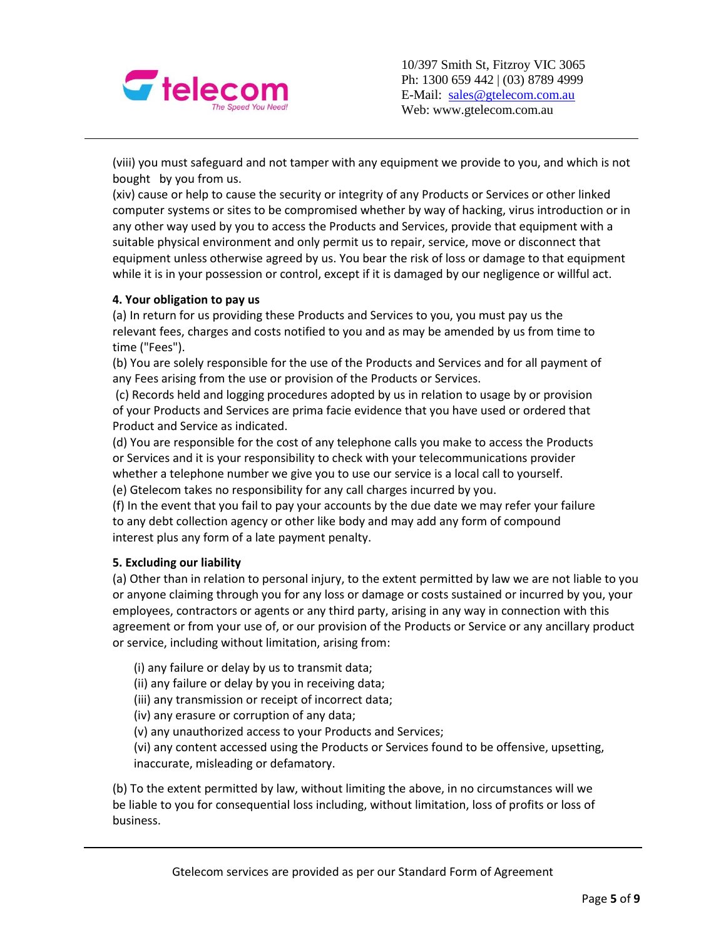

(viii) you must safeguard and not tamper with any equipment we provide to you, and which is not bought by you from us.

(xiv) cause or help to cause the security or integrity of any Products or Services or other linked computer systems or sites to be compromised whether by way of hacking, virus introduction or in any other way used by you to access the Products and Services, provide that equipment with a suitable physical environment and only permit us to repair, service, move or disconnect that equipment unless otherwise agreed by us. You bear the risk of loss or damage to that equipment while it is in your possession or control, except if it is damaged by our negligence or willful act.

## **4. Your obligation to pay us**

(a) In return for us providing these Products and Services to you, you must pay us the relevant fees, charges and costs notified to you and as may be amended by us from time to time ("Fees").

(b) You are solely responsible for the use of the Products and Services and for all payment of any Fees arising from the use or provision of the Products or Services.

(c) Records held and logging procedures adopted by us in relation to usage by or provision of your Products and Services are prima facie evidence that you have used or ordered that Product and Service as indicated.

(d) You are responsible for the cost of any telephone calls you make to access the Products or Services and it is your responsibility to check with your telecommunications provider whether a telephone number we give you to use our service is a local call to yourself.

(e) Gtelecom takes no responsibility for any call charges incurred by you.

(f) In the event that you fail to pay your accounts by the due date we may refer your failure to any debt collection agency or other like body and may add any form of compound interest plus any form of a late payment penalty.

## **5. Excluding our liability**

(a) Other than in relation to personal injury, to the extent permitted by law we are not liable to you or anyone claiming through you for any loss or damage or costs sustained or incurred by you, your employees, contractors or agents or any third party, arising in any way in connection with this agreement or from your use of, or our provision of the Products or Service or any ancillary product or service, including without limitation, arising from:

(i) any failure or delay by us to transmit data;

(ii) any failure or delay by you in receiving data;

(iii) any transmission or receipt of incorrect data;

(iv) any erasure or corruption of any data;

(v) any unauthorized access to your Products and Services;

(vi) any content accessed using the Products or Services found to be offensive, upsetting, inaccurate, misleading or defamatory.

(b) To the extent permitted by law, without limiting the above, in no circumstances will we be liable to you for consequential loss including, without limitation, loss of profits or loss of business.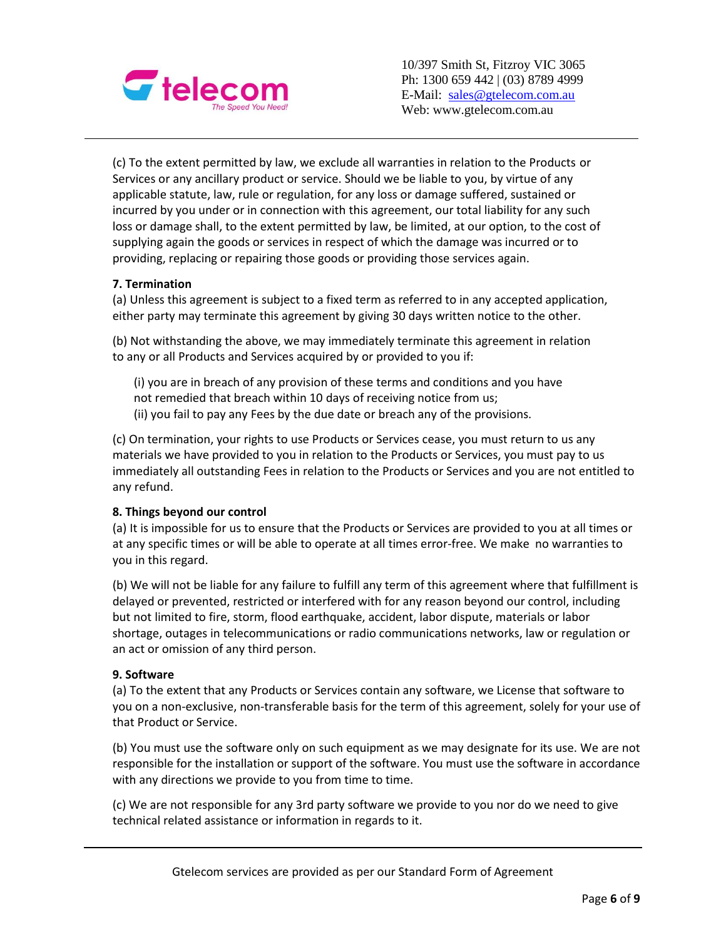

10/397 Smith St, Fitzroy VIC 3065 Ph: 1300 659 442 | (03) 8789 4999 E-Mail: [sales@gtelecom.com.au](mailto:sales@gtelecom.com.au) Web: www.gtelecom.com.au

(c) To the extent permitted by law, we exclude all warranties in relation to the Products or Services or any ancillary product or service. Should we be liable to you, by virtue of any applicable statute, law, rule or regulation, for any loss or damage suffered, sustained or incurred by you under or in connection with this agreement, our total liability for any such loss or damage shall, to the extent permitted by law, be limited, at our option, to the cost of supplying again the goods or services in respect of which the damage was incurred or to providing, replacing or repairing those goods or providing those services again.

# **7. Termination**

(a) Unless this agreement is subject to a fixed term as referred to in any accepted application, either party may terminate this agreement by giving 30 days written notice to the other.

(b) Not withstanding the above, we may immediately terminate this agreement in relation to any or all Products and Services acquired by or provided to you if:

(i) you are in breach of any provision of these terms and conditions and you have not remedied that breach within 10 days of receiving notice from us; (ii) you fail to pay any Fees by the due date or breach any of the provisions.

(c) On termination, your rights to use Products or Services cease, you must return to us any materials we have provided to you in relation to the Products or Services, you must pay to us immediately all outstanding Fees in relation to the Products or Services and you are not entitled to any refund.

## **8. Things beyond our control**

(a) It is impossible for us to ensure that the Products or Services are provided to you at all times or at any specific times or will be able to operate at all times error-free. We make no warranties to you in this regard.

(b) We will not be liable for any failure to fulfill any term of this agreement where that fulfillment is delayed or prevented, restricted or interfered with for any reason beyond our control, including but not limited to fire, storm, flood earthquake, accident, labor dispute, materials or labor shortage, outages in telecommunications or radio communications networks, law or regulation or an act or omission of any third person.

## **9. Software**

(a) To the extent that any Products or Services contain any software, we License that software to you on a non-exclusive, non-transferable basis for the term of this agreement, solely for your use of that Product or Service.

(b) You must use the software only on such equipment as we may designate for its use. We are not responsible for the installation or support of the software. You must use the software in accordance with any directions we provide to you from time to time.

(c) We are not responsible for any 3rd party software we provide to you nor do we need to give technical related assistance or information in regards to it.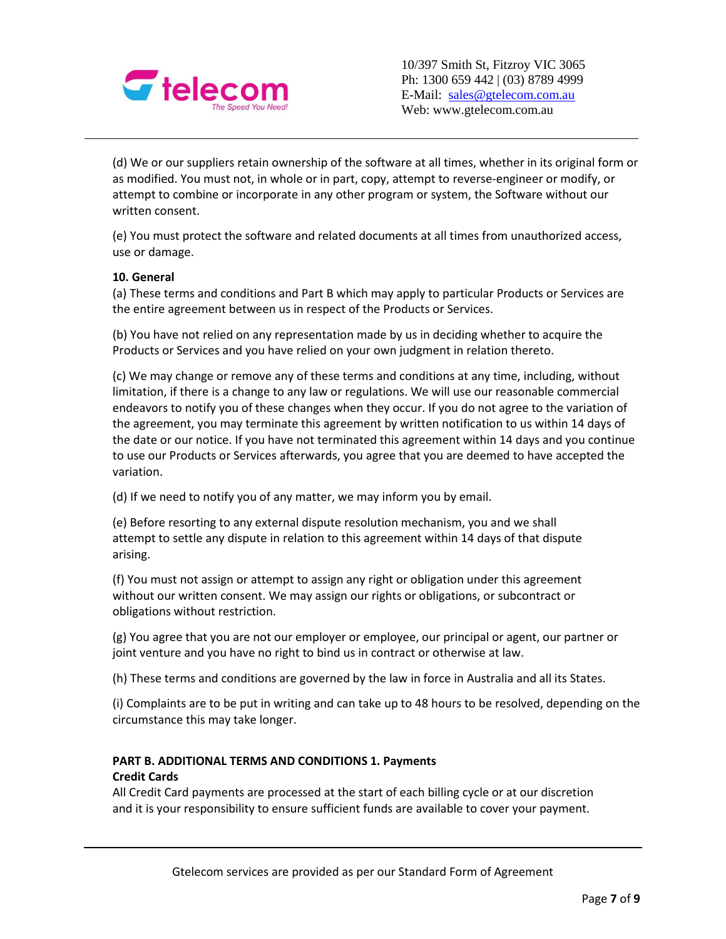

(d) We or our suppliers retain ownership of the software at all times, whether in its original form or as modified. You must not, in whole or in part, copy, attempt to reverse-engineer or modify, or attempt to combine or incorporate in any other program or system, the Software without our written consent.

(e) You must protect the software and related documents at all times from unauthorized access, use or damage.

## **10. General**

(a) These terms and conditions and Part B which may apply to particular Products or Services are the entire agreement between us in respect of the Products or Services.

(b) You have not relied on any representation made by us in deciding whether to acquire the Products or Services and you have relied on your own judgment in relation thereto.

(c) We may change or remove any of these terms and conditions at any time, including, without limitation, if there is a change to any law or regulations. We will use our reasonable commercial endeavors to notify you of these changes when they occur. If you do not agree to the variation of the agreement, you may terminate this agreement by written notification to us within 14 days of the date or our notice. If you have not terminated this agreement within 14 days and you continue to use our Products or Services afterwards, you agree that you are deemed to have accepted the variation.

(d) If we need to notify you of any matter, we may inform you by email.

(e) Before resorting to any external dispute resolution mechanism, you and we shall attempt to settle any dispute in relation to this agreement within 14 days of that dispute arising.

(f) You must not assign or attempt to assign any right or obligation under this agreement without our written consent. We may assign our rights or obligations, or subcontract or obligations without restriction.

(g) You agree that you are not our employer or employee, our principal or agent, our partner or joint venture and you have no right to bind us in contract or otherwise at law.

(h) These terms and conditions are governed by the law in force in Australia and all its States.

(i) Complaints are to be put in writing and can take up to 48 hours to be resolved, depending on the circumstance this may take longer.

# **PART B. ADDITIONAL TERMS AND CONDITIONS 1. Payments Credit Cards**

All Credit Card payments are processed at the start of each billing cycle or at our discretion and it is your responsibility to ensure sufficient funds are available to cover your payment.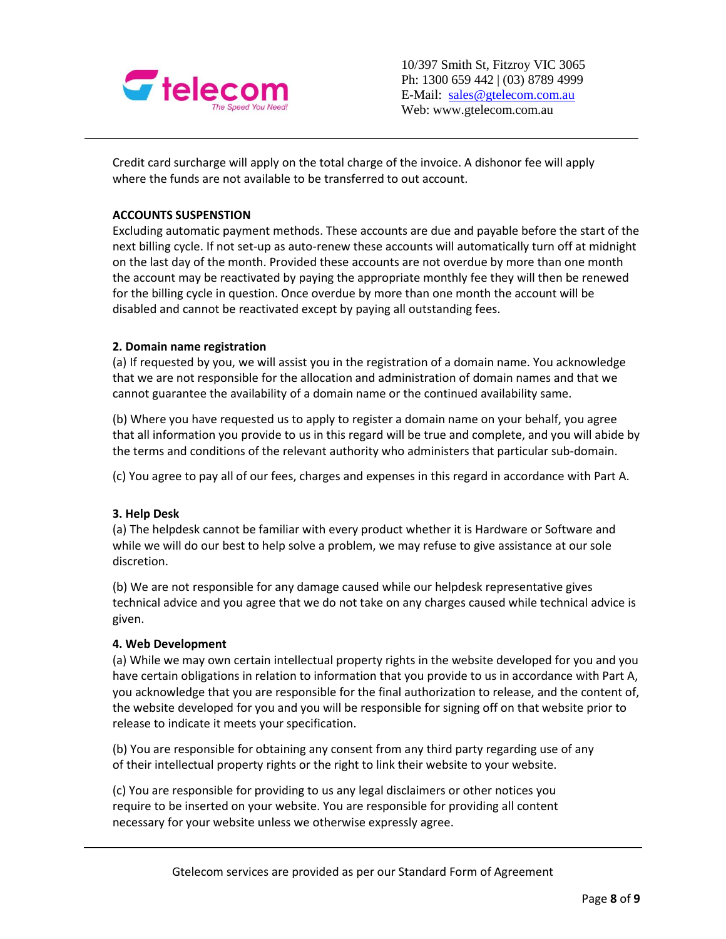

Credit card surcharge will apply on the total charge of the invoice. A dishonor fee will apply where the funds are not available to be transferred to out account.

# **ACCOUNTS SUSPENSTION**

Excluding automatic payment methods. These accounts are due and payable before the start of the next billing cycle. If not set-up as auto-renew these accounts will automatically turn off at midnight on the last day of the month. Provided these accounts are not overdue by more than one month the account may be reactivated by paying the appropriate monthly fee they will then be renewed for the billing cycle in question. Once overdue by more than one month the account will be disabled and cannot be reactivated except by paying all outstanding fees.

#### **2. Domain name registration**

(a) If requested by you, we will assist you in the registration of a domain name. You acknowledge that we are not responsible for the allocation and administration of domain names and that we cannot guarantee the availability of a domain name or the continued availability same.

(b) Where you have requested us to apply to register a domain name on your behalf, you agree that all information you provide to us in this regard will be true and complete, and you will abide by the terms and conditions of the relevant authority who administers that particular sub-domain.

(c) You agree to pay all of our fees, charges and expenses in this regard in accordance with Part A.

## **3. Help Desk**

(a) The helpdesk cannot be familiar with every product whether it is Hardware or Software and while we will do our best to help solve a problem, we may refuse to give assistance at our sole discretion.

(b) We are not responsible for any damage caused while our helpdesk representative gives technical advice and you agree that we do not take on any charges caused while technical advice is given.

#### **4. Web Development**

(a) While we may own certain intellectual property rights in the website developed for you and you have certain obligations in relation to information that you provide to us in accordance with Part A, you acknowledge that you are responsible for the final authorization to release, and the content of, the website developed for you and you will be responsible for signing off on that website prior to release to indicate it meets your specification.

(b) You are responsible for obtaining any consent from any third party regarding use of any of their intellectual property rights or the right to link their website to your website.

(c) You are responsible for providing to us any legal disclaimers or other notices you require to be inserted on your website. You are responsible for providing all content necessary for your website unless we otherwise expressly agree.